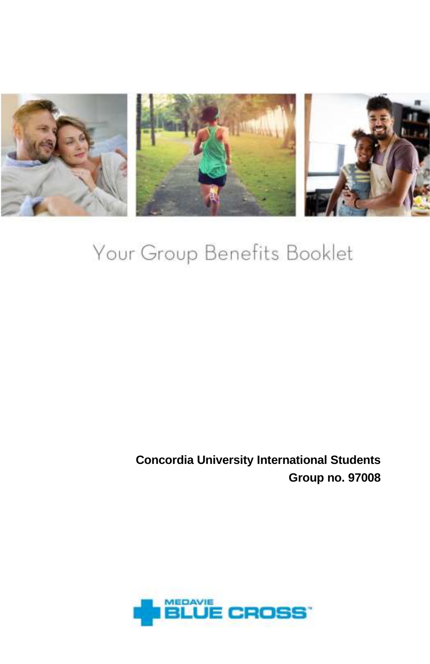

# Your Group Benefits Booklet

**Concordia University International Students Group no. 97008**

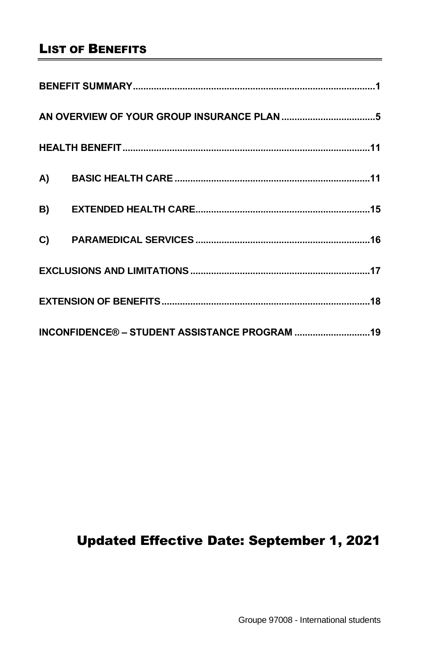# LIST OF BENEFITS

| INCONFIDENCE® - STUDENT ASSISTANCE PROGRAM  19 |  |  |  |
|------------------------------------------------|--|--|--|

# Updated Effective Date: September 1, 2021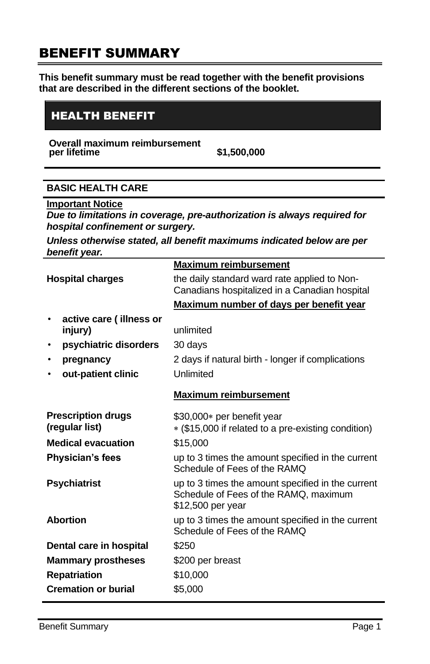# <span id="page-2-0"></span>BENEFIT SUMMARY

**This benefit summary must be read together with the benefit provisions that are described in the different sections of the booklet.**

# HEALTH BENEFIT

**Overall maximum reimbursement** 

**per lifetime \$1,500,000** 

# **BASIC HEALTH CARE**

**Important Notice** 

*Due to limitations in coverage, pre-authorization is always required for hospital confinement or surgery.*

*Unless otherwise stated, all benefit maximums indicated below are per benefit year.*

|                                             |                                    | <b>Maximum reimbursement</b>                                                                                    |
|---------------------------------------------|------------------------------------|-----------------------------------------------------------------------------------------------------------------|
| <b>Hospital charges</b>                     |                                    | the daily standard ward rate applied to Non-<br>Canadians hospitalized in a Canadian hospital                   |
|                                             |                                    | Maximum number of days per benefit year                                                                         |
|                                             | active care (illness or<br>injury) | unlimited                                                                                                       |
| $\bullet$                                   | psychiatric disorders              | 30 days                                                                                                         |
| ٠                                           | pregnancy                          | 2 days if natural birth - longer if complications                                                               |
|                                             | out-patient clinic                 | Unlimited                                                                                                       |
|                                             |                                    | <b>Maximum reimbursement</b>                                                                                    |
| <b>Prescription drugs</b><br>(regular list) |                                    | \$30,000* per benefit year<br>* (\$15,000 if related to a pre-existing condition)                               |
| <b>Medical evacuation</b>                   |                                    | \$15,000                                                                                                        |
| <b>Physician's fees</b>                     |                                    | up to 3 times the amount specified in the current<br>Schedule of Fees of the RAMO                               |
| <b>Psychiatrist</b>                         |                                    | up to 3 times the amount specified in the current<br>Schedule of Fees of the RAMQ, maximum<br>\$12,500 per year |
| <b>Abortion</b>                             |                                    | up to 3 times the amount specified in the current<br>Schedule of Fees of the RAMO                               |
| Dental care in hospital                     |                                    | \$250                                                                                                           |
| <b>Mammary prostheses</b>                   |                                    | \$200 per breast                                                                                                |
| <b>Repatriation</b>                         |                                    | \$10,000                                                                                                        |
| <b>Cremation or burial</b>                  |                                    | \$5,000                                                                                                         |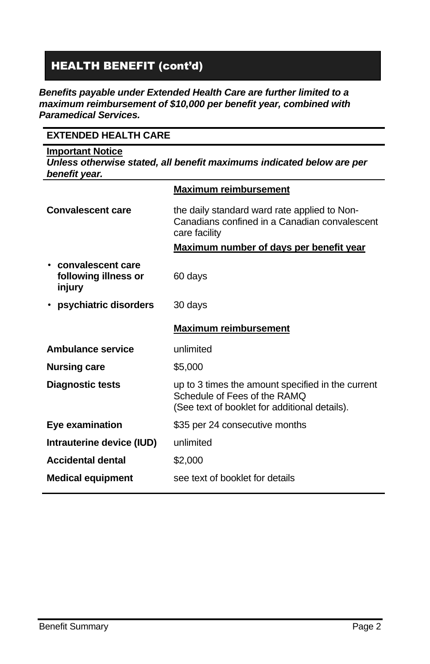# HEALTH BENEFIT (cont'd)

#### *Benefits payable under Extended Health Care are further limited to a maximum reimbursement of \$10,000 per benefit year, combined with Paramedical Services.*

# **EXTENDED HEALTH CARE**

#### **Important Notice**  *Unless otherwise stated, all benefit maximums indicated below are per benefit year.*

|                                                       | <b>Maximum reimbursement</b>                                                                                                       |
|-------------------------------------------------------|------------------------------------------------------------------------------------------------------------------------------------|
| <b>Convalescent care</b>                              | the daily standard ward rate applied to Non-<br>Canadians confined in a Canadian convalescent<br>care facility                     |
|                                                       | <u>Maximum number of days per benefit year</u>                                                                                     |
| • convalescent care<br>following illness or<br>injury | 60 days                                                                                                                            |
| • psychiatric disorders                               | 30 days                                                                                                                            |
|                                                       | <b>Maximum reimbursement</b>                                                                                                       |
|                                                       |                                                                                                                                    |
| Ambulance service                                     | unlimited                                                                                                                          |
| <b>Nursing care</b>                                   | \$5,000                                                                                                                            |
| <b>Diagnostic tests</b>                               | up to 3 times the amount specified in the current<br>Schedule of Fees of the RAMO<br>(See text of booklet for additional details). |
| Eye examination                                       | \$35 per 24 consecutive months                                                                                                     |
| Intrauterine device (IUD)                             | unlimited                                                                                                                          |
| <b>Accidental dental</b>                              | \$2,000                                                                                                                            |
| <b>Medical equipment</b>                              | see text of booklet for details                                                                                                    |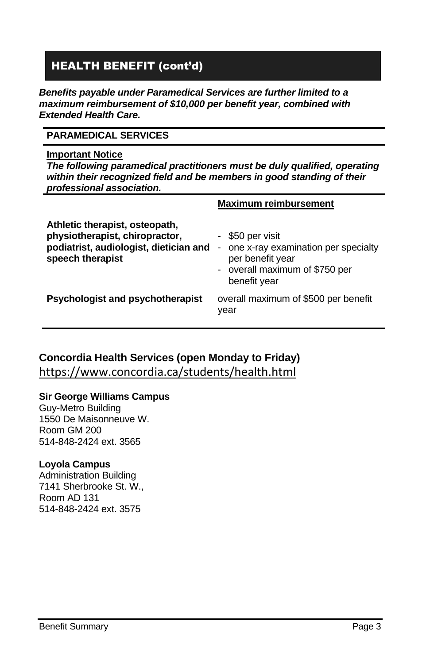# HEALTH BENEFIT (cont'd)

*Benefits payable under Paramedical Services are further limited to a maximum reimbursement of \$10,000 per benefit year, combined with Extended Health Care.*

# **PARAMEDICAL SERVICES**

#### **Important Notice**

*The following paramedical practitioners must be duly qualified, operating within their recognized field and be members in good standing of their professional association.*

|                                                                                                                                | <b>Maximum reimbursement</b>                                                                                                     |
|--------------------------------------------------------------------------------------------------------------------------------|----------------------------------------------------------------------------------------------------------------------------------|
| Athletic therapist, osteopath,<br>physiotherapist, chiropractor,<br>podiatrist, audiologist, dietician and<br>speech therapist | \$50 per visit<br>one x-ray examination per specialty<br>-<br>per benefit year<br>- overall maximum of \$750 per<br>benefit year |
| <b>Psychologist and psychotherapist</b>                                                                                        | overall maximum of \$500 per benefit<br>year                                                                                     |

# **Concordia Health Services (open Monday to Friday)** https://www.concordia.ca/students/health.html

#### **Sir George Williams Campus**

Guy-Metro Building 1550 De Maisonneuve W. Room GM 200 514-848-2424 ext. 3565

#### **Loyola Campus**

Administration Building 7141 Sherbrooke St. W., Room AD 131 514-848-2424 ext. 3575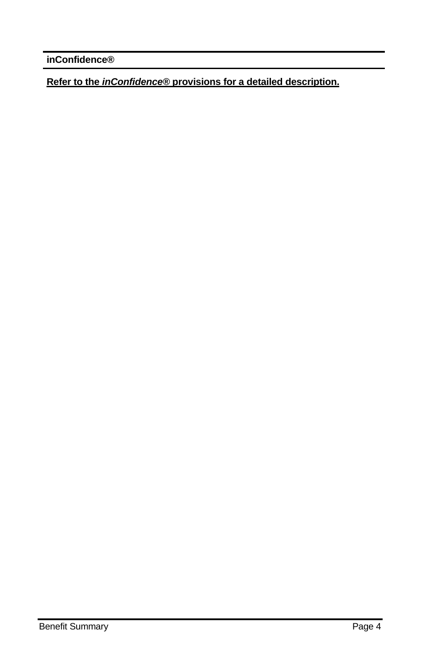**inConfidence®**

**Refer to the** *inConfidence®* **provisions for a detailed description.**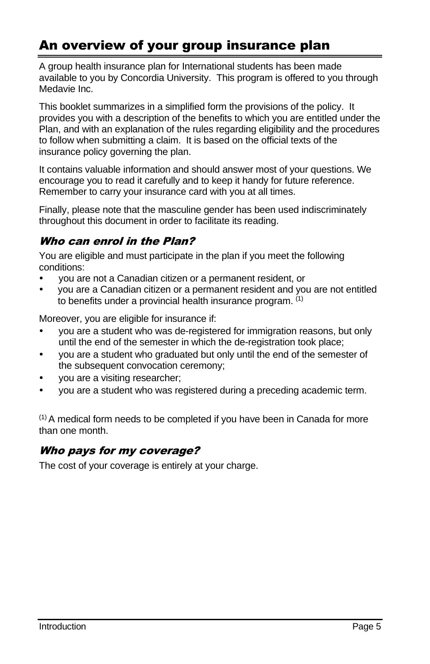# <span id="page-6-0"></span>An overview of your group insurance plan

A group health insurance plan for International students has been made available to you by Concordia University. This program is offered to you through Medavie Inc.

This booklet summarizes in a simplified form the provisions of the policy. It provides you with a description of the benefits to which you are entitled under the Plan, and with an explanation of the rules regarding eligibility and the procedures to follow when submitting a claim. It is based on the official texts of the insurance policy governing the plan.

It contains valuable information and should answer most of your questions. We encourage you to read it carefully and to keep it handy for future reference. Remember to carry your insurance card with you at all times.

Finally, please note that the masculine gender has been used indiscriminately throughout this document in order to facilitate its reading.

# Who can enrol in the Plan?

You are eligible and must participate in the plan if you meet the following conditions:

- you are not a Canadian citizen or a permanent resident, or
- you are a Canadian citizen or a permanent resident and you are not entitled to benefits under a provincial health insurance program. (1)

Moreover, you are eligible for insurance if:

- you are a student who was de-registered for immigration reasons, but only until the end of the semester in which the de-registration took place;
- you are a student who graduated but only until the end of the semester of the subsequent convocation ceremony;
- you are a visiting researcher;
- you are a student who was registered during a preceding academic term.

 $<sup>(1)</sup>$  A medical form needs to be completed if you have been in Canada for more</sup> than one month.

# Who pays for my coverage?

The cost of your coverage is entirely at your charge.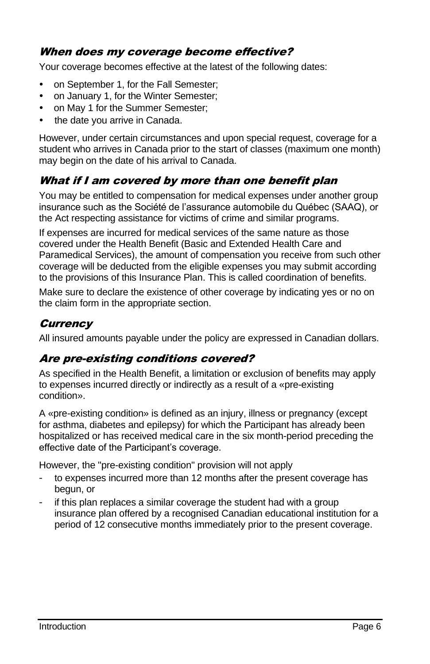# When does my coverage become effective?

Your coverage becomes effective at the latest of the following dates:

- on September 1, for the Fall Semester;
- on January 1, for the Winter Semester;
- on May 1 for the Summer Semester;
- the date you arrive in Canada.

However, under certain circumstances and upon special request, coverage for a student who arrives in Canada prior to the start of classes (maximum one month) may begin on the date of his arrival to Canada.

# What if I am covered by more than one benefit plan

You may be entitled to compensation for medical expenses under another group insurance such as the Société de l'assurance automobile du Québec (SAAQ), or the Act respecting assistance for victims of crime and similar programs.

If expenses are incurred for medical services of the same nature as those covered under the Health Benefit (Basic and Extended Health Care and Paramedical Services), the amount of compensation you receive from such other coverage will be deducted from the eligible expenses you may submit according to the provisions of this Insurance Plan. This is called coordination of benefits.

Make sure to declare the existence of other coverage by indicating yes or no on the claim form in the appropriate section.

# **Currency**

All insured amounts payable under the policy are expressed in Canadian dollars.

# Are pre-existing conditions covered?

As specified in the Health Benefit, a limitation or exclusion of benefits may apply to expenses incurred directly or indirectly as a result of a «pre-existing condition».

A «pre-existing condition» is defined as an injury, illness or pregnancy (except for asthma, diabetes and epilepsy) for which the Participant has already been hospitalized or has received medical care in the six month-period preceding the effective date of the Participant's coverage.

However, the "pre-existing condition" provision will not apply

- to expenses incurred more than 12 months after the present coverage has begun, or
- if this plan replaces a similar coverage the student had with a group insurance plan offered by a recognised Canadian educational institution for a period of 12 consecutive months immediately prior to the present coverage.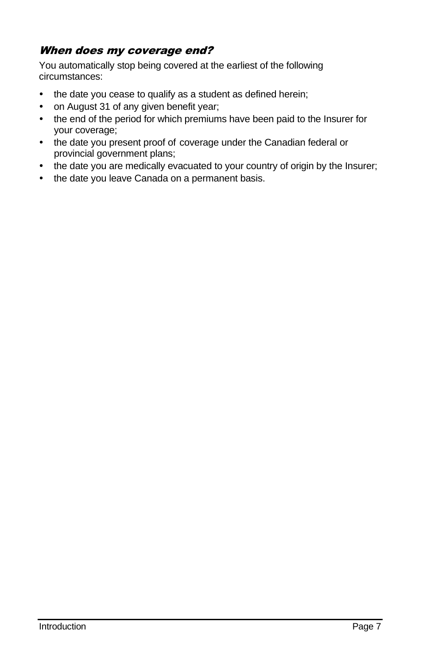# When does my coverage end?

You automatically stop being covered at the earliest of the following circumstances:

- the date you cease to qualify as a student as defined herein;
- on August 31 of any given benefit year;
- the end of the period for which premiums have been paid to the Insurer for your coverage;
- the date you present proof of coverage under the Canadian federal or provincial government plans;
- the date you are medically evacuated to your country of origin by the Insurer;
- the date you leave Canada on a permanent basis.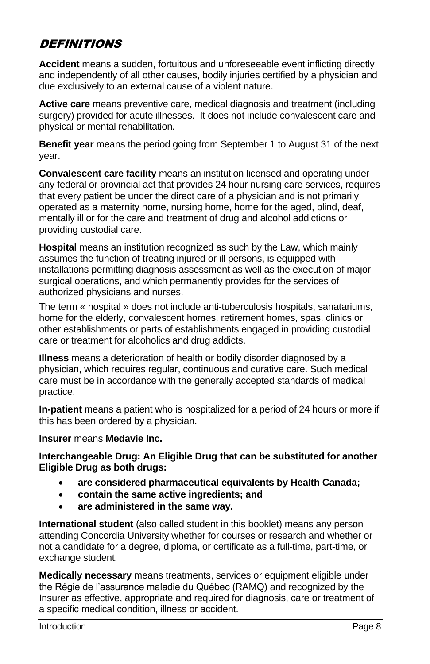# **DEFINITIONS**

**Accident** means a sudden, fortuitous and unforeseeable event inflicting directly and independently of all other causes, bodily injuries certified by a physician and due exclusively to an external cause of a violent nature.

**Active care** means preventive care, medical diagnosis and treatment (including surgery) provided for acute illnesses. It does not include convalescent care and physical or mental rehabilitation.

**Benefit year** means the period going from September 1 to August 31 of the next year.

**Convalescent care facility** means an institution licensed and operating under any federal or provincial act that provides 24 hour nursing care services, requires that every patient be under the direct care of a physician and is not primarily operated as a maternity home, nursing home, home for the aged, blind, deaf, mentally ill or for the care and treatment of drug and alcohol addictions or providing custodial care.

**Hospital** means an institution recognized as such by the Law, which mainly assumes the function of treating injured or ill persons, is equipped with installations permitting diagnosis assessment as well as the execution of major surgical operations, and which permanently provides for the services of authorized physicians and nurses.

The term « hospital » does not include anti-tuberculosis hospitals, sanatariums, home for the elderly, convalescent homes, retirement homes, spas, clinics or other establishments or parts of establishments engaged in providing custodial care or treatment for alcoholics and drug addicts.

**Illness** means a deterioration of health or bodily disorder diagnosed by a physician, which requires regular, continuous and curative care. Such medical care must be in accordance with the generally accepted standards of medical practice.

**In-patient** means a patient who is hospitalized for a period of 24 hours or more if this has been ordered by a physician.

#### **Insurer** means **Medavie Inc.**

**Interchangeable Drug: An Eligible Drug that can be substituted for another Eligible Drug as both drugs:**

- **are considered pharmaceutical equivalents by Health Canada;**
- **contain the same active ingredients; and**
- **are administered in the same way.**

**International student** (also called student in this booklet) means any person attending Concordia University whether for courses or research and whether or not a candidate for a degree, diploma, or certificate as a full-time, part-time, or exchange student.

**Medically necessary** means treatments, services or equipment eligible under the Régie de l'assurance maladie du Québec (RAMQ) and recognized by the Insurer as effective, appropriate and required for diagnosis, care or treatment of a specific medical condition, illness or accident.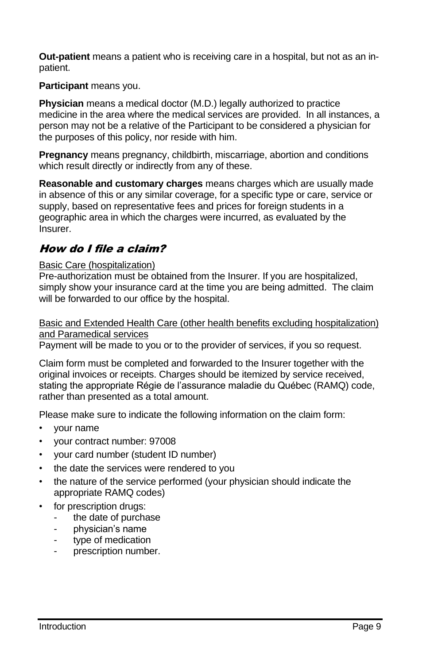**Out-patient** means a patient who is receiving care in a hospital, but not as an inpatient.

**Participant** means you.

**Physician** means a medical doctor (M.D.) legally authorized to practice medicine in the area where the medical services are provided. In all instances, a person may not be a relative of the Participant to be considered a physician for the purposes of this policy, nor reside with him.

**Pregnancy** means pregnancy, childbirth, miscarriage, abortion and conditions which result directly or indirectly from any of these.

**Reasonable and customary charges** means charges which are usually made in absence of this or any similar coverage, for a specific type or care, service or supply, based on representative fees and prices for foreign students in a geographic area in which the charges were incurred, as evaluated by the Insurer.

# How do I file a claim?

#### Basic Care (hospitalization)

Pre-authorization must be obtained from the Insurer. If you are hospitalized, simply show your insurance card at the time you are being admitted. The claim will be forwarded to our office by the hospital.

#### Basic and Extended Health Care (other health benefits excluding hospitalization) and Paramedical services

Payment will be made to you or to the provider of services, if you so request.

Claim form must be completed and forwarded to the Insurer together with the original invoices or receipts. Charges should be itemized by service received, stating the appropriate Régie de l'assurance maladie du Québec (RAMQ) code, rather than presented as a total amount.

Please make sure to indicate the following information on the claim form:

- your name
- your contract number: 97008
- your card number (student ID number)
- the date the services were rendered to you
- the nature of the service performed (your physician should indicate the appropriate RAMQ codes)
- for prescription drugs:
	- the date of purchase
	- physician's name
	- type of medication
	- prescription number.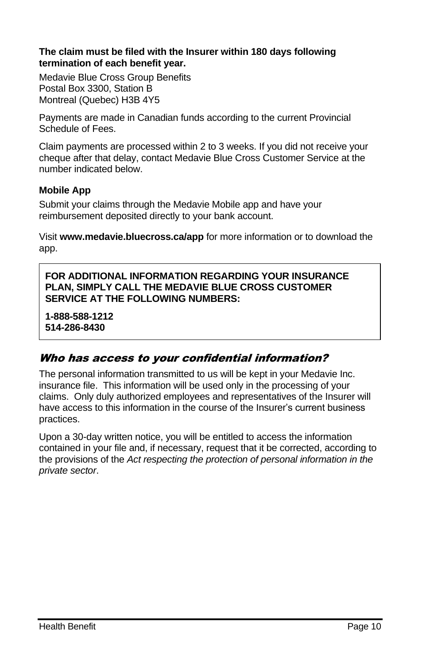#### **The claim must be filed with the Insurer within 180 days following termination of each benefit year.**

Medavie Blue Cross Group Benefits Postal Box 3300, Station B Montreal (Quebec) H3B 4Y5

Payments are made in Canadian funds according to the current Provincial Schedule of Fees.

Claim payments are processed within 2 to 3 weeks. If you did not receive your cheque after that delay, contact Medavie Blue Cross Customer Service at the number indicated below.

#### **Mobile App**

Submit your claims through the Medavie Mobile app and have your reimbursement deposited directly to your bank account.

Visit **www.medavie.bluecross.ca/app** for more information or to download the app.

**FOR ADDITIONAL INFORMATION REGARDING YOUR INSURANCE PLAN, SIMPLY CALL THE MEDAVIE BLUE CROSS CUSTOMER SERVICE AT THE FOLLOWING NUMBERS:**

**1-888-588-1212 514-286-8430**

# Who has access to your confidential information?

The personal information transmitted to us will be kept in your Medavie Inc. insurance file. This information will be used only in the processing of your claims. Only duly authorized employees and representatives of the Insurer will have access to this information in the course of the Insurer's current business practices.

Upon a 30-day written notice, you will be entitled to access the information contained in your file and, if necessary, request that it be corrected, according to the provisions of the *Act respecting the protection of personal information in the private sector*.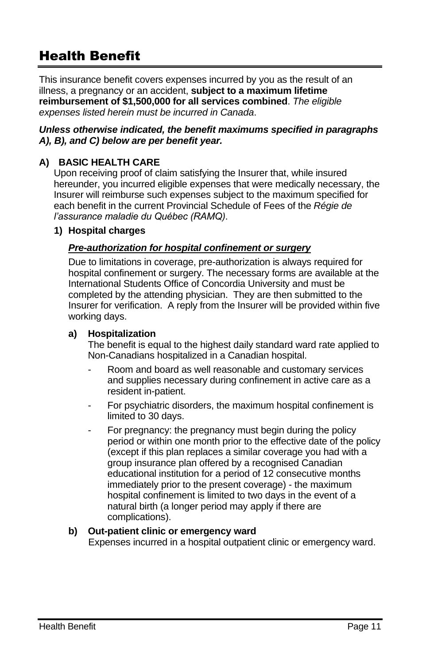# <span id="page-12-0"></span>Health Benefit

This insurance benefit covers expenses incurred by you as the result of an illness, a pregnancy or an accident, **subject to a maximum lifetime reimbursement of \$1,500,000 for all services combined**. *The eligible expenses listed herein must be incurred in Canada*.

#### *Unless otherwise indicated, the benefit maximums specified in paragraphs A), B), and C) below are per benefit year.*

# <span id="page-12-1"></span>**A) BASIC HEALTH CARE**

Upon receiving proof of claim satisfying the Insurer that, while insured hereunder, you incurred eligible expenses that were medically necessary, the Insurer will reimburse such expenses subject to the maximum specified for each benefit in the current Provincial Schedule of Fees of the *Régie de l'assurance maladie du Québec (RAMQ)*.

#### **1) Hospital charges**

#### *Pre-authorization for hospital confinement or surgery*

Due to limitations in coverage, pre-authorization is always required for hospital confinement or surgery. The necessary forms are available at the International Students Office of Concordia University and must be completed by the attending physician. They are then submitted to the Insurer for verification. A reply from the Insurer will be provided within five working days.

#### **a) Hospitalization**

The benefit is equal to the highest daily standard ward rate applied to Non-Canadians hospitalized in a Canadian hospital.

- Room and board as well reasonable and customary services and supplies necessary during confinement in active care as a resident in-patient.
- For psychiatric disorders, the maximum hospital confinement is limited to 30 days.
- For pregnancy: the pregnancy must begin during the policy period or within one month prior to the effective date of the policy (except if this plan replaces a similar coverage you had with a group insurance plan offered by a recognised Canadian educational institution for a period of 12 consecutive months immediately prior to the present coverage) - the maximum hospital confinement is limited to two days in the event of a natural birth (a longer period may apply if there are complications).

#### **b) Out-patient clinic or emergency ward**

Expenses incurred in a hospital outpatient clinic or emergency ward.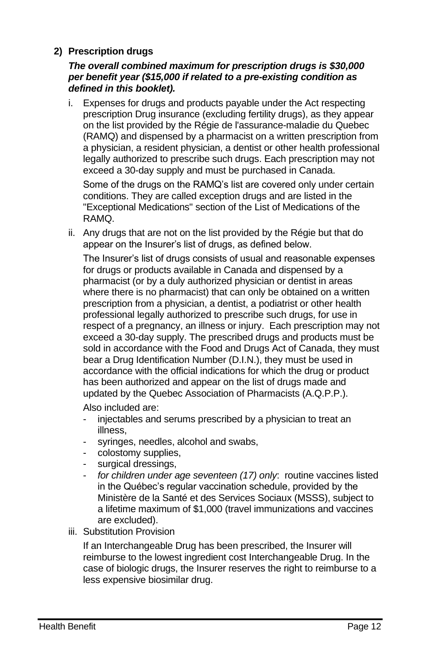# **2) Prescription drugs**

#### *The overall combined maximum for prescription drugs is \$30,000 per benefit year (\$15,000 if related to a pre-existing condition as defined in this booklet).*

i. Expenses for drugs and products payable under the Act respecting prescription Drug insurance (excluding fertility drugs), as they appear on the list provided by the Régie de l'assurance-maladie du Quebec (RAMQ) and dispensed by a pharmacist on a written prescription from a physician, a resident physician, a dentist or other health professional legally authorized to prescribe such drugs. Each prescription may not exceed a 30-day supply and must be purchased in Canada.

Some of the drugs on the RAMQ's list are covered only under certain conditions. They are called exception drugs and are listed in the "Exceptional Medications" section of th[e List of Medications](http://www.ramq.gouv.qc.ca/en/regie/lois/liste_med.shtml) of the RAMQ.

ii. Any drugs that are not on the list provided by the Régie but that do appear on the Insurer's list of drugs, as defined below.

The Insurer's list of drugs consists of usual and reasonable expenses for drugs or products available in Canada and dispensed by a pharmacist (or by a duly authorized physician or dentist in areas where there is no pharmacist) that can only be obtained on a written prescription from a physician, a dentist, a podiatrist or other health professional legally authorized to prescribe such drugs, for use in respect of a pregnancy, an illness or injury. Each prescription may not exceed a 30-day supply. The prescribed drugs and products must be sold in accordance with the Food and Drugs Act of Canada, they must bear a Drug Identification Number (D.I.N.), they must be used in accordance with the official indications for which the drug or product has been authorized and appear on the list of drugs made and updated by the Quebec Association of Pharmacists (A.Q.P.P.).

Also included are:

- injectables and serums prescribed by a physician to treat an illness,
- syringes, needles, alcohol and swabs,
- colostomy supplies,
- surgical dressings,
- *for children under age seventeen (17) only*: routine vaccines listed in the Québec's regular vaccination schedule, provided by the Ministère de la Santé et des Services Sociaux (MSSS), subject to a lifetime maximum of \$1,000 (travel immunizations and vaccines are excluded).
- iii. Substitution Provision

If an Interchangeable Drug has been prescribed, the Insurer will reimburse to the lowest ingredient cost Interchangeable Drug. In the case of biologic drugs, the Insurer reserves the right to reimburse to a less expensive biosimilar drug.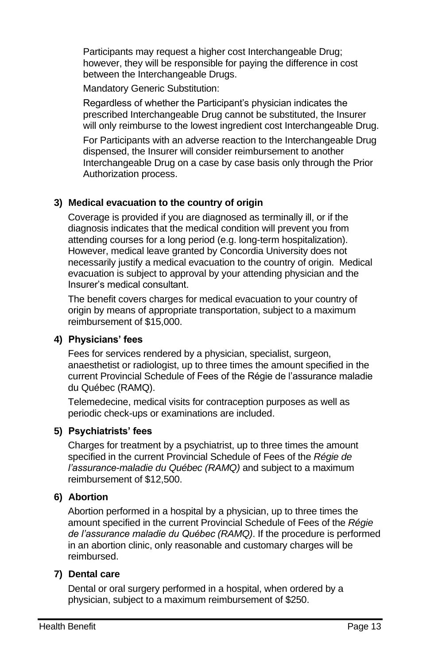Participants may request a higher cost Interchangeable Drug; however, they will be responsible for paying the difference in cost between the Interchangeable Drugs.

Mandatory Generic Substitution:

Regardless of whether the Participant's physician indicates the prescribed Interchangeable Drug cannot be substituted, the Insurer will only reimburse to the lowest ingredient cost Interchangeable Drug.

For Participants with an adverse reaction to the Interchangeable Drug dispensed, the Insurer will consider reimbursement to another Interchangeable Drug on a case by case basis only through the Prior Authorization process.

# **3) Medical evacuation to the country of origin**

Coverage is provided if you are diagnosed as terminally ill, or if the diagnosis indicates that the medical condition will prevent you from attending courses for a long period (e.g. long-term hospitalization). However, medical leave granted by Concordia University does not necessarily justify a medical evacuation to the country of origin. Medical evacuation is subject to approval by your attending physician and the Insurer's medical consultant.

The benefit covers charges for medical evacuation to your country of origin by means of appropriate transportation, subject to a maximum reimbursement of \$15,000.

# **4) Physicians' fees**

Fees for services rendered by a physician, specialist, surgeon, anaesthetist or radiologist, up to three times the amount specified in the current Provincial Schedule of Fees of the Régie de l'assurance maladie du Québec (RAMQ).

Telemedecine, medical visits for contraception purposes as well as periodic check-ups or examinations are included.

# **5) Psychiatrists' fees**

Charges for treatment by a psychiatrist, up to three times the amount specified in the current Provincial Schedule of Fees of the *Régie de l'assurance-maladie du Québec (RAMQ)* and subject to a maximum reimbursement of \$12,500.

# **6) Abortion**

Abortion performed in a hospital by a physician, up to three times the amount specified in the current Provincial Schedule of Fees of the *Régie de l'assurance maladie du Québec (RAMQ)*. If the procedure is performed in an abortion clinic, only reasonable and customary charges will be reimbursed.

# **7) Dental care**

Dental or oral surgery performed in a hospital, when ordered by a physician, subject to a maximum reimbursement of \$250.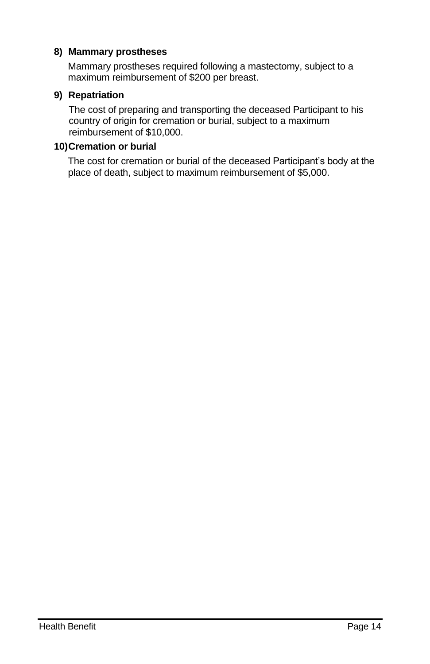#### **8) Mammary prostheses**

Mammary prostheses required following a mastectomy, subject to a maximum reimbursement of \$200 per breast.

#### **9) Repatriation**

The cost of preparing and transporting the deceased Participant to his country of origin for cremation or burial, subject to a maximum reimbursement of \$10,000.

#### **10)Cremation or burial**

The cost for cremation or burial of the deceased Participant's body at the place of death, subject to maximum reimbursement of \$5,000.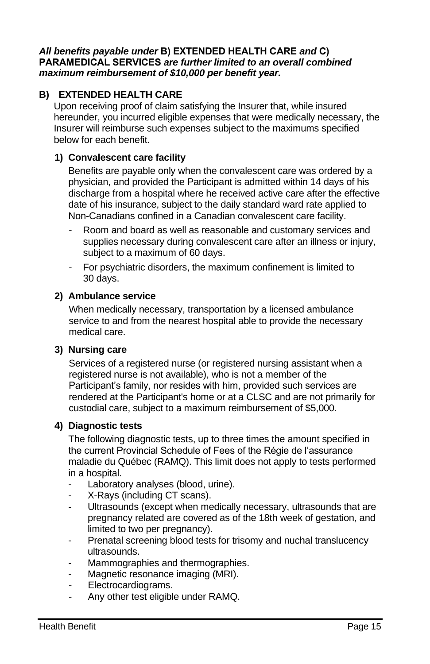#### *All benefits payable under* **B) EXTENDED HEALTH CARE** *and* **C) PARAMEDICAL SERVICES** *are further limited to an overall combined maximum reimbursement of \$10,000 per benefit year.*

# <span id="page-16-0"></span>**B) EXTENDED HEALTH CARE**

Upon receiving proof of claim satisfying the Insurer that, while insured hereunder, you incurred eligible expenses that were medically necessary, the Insurer will reimburse such expenses subject to the maximums specified below for each benefit.

#### **1) Convalescent care facility**

Benefits are payable only when the convalescent care was ordered by a physician, and provided the Participant is admitted within 14 days of his discharge from a hospital where he received active care after the effective date of his insurance, subject to the daily standard ward rate applied to Non-Canadians confined in a Canadian convalescent care facility.

- Room and board as well as reasonable and customary services and supplies necessary during convalescent care after an illness or injury, subject to a maximum of 60 days.
- For psychiatric disorders, the maximum confinement is limited to 30 days.

#### **2) Ambulance service**

When medically necessary, transportation by a licensed ambulance service to and from the nearest hospital able to provide the necessary medical care.

#### **3) Nursing care**

Services of a registered nurse (or registered nursing assistant when a registered nurse is not available), who is not a member of the Participant's family, nor resides with him, provided such services are rendered at the Participant's home or at a CLSC and are not primarily for custodial care, subject to a maximum reimbursement of \$5,000.

#### **4) Diagnostic tests**

The following diagnostic tests, up to three times the amount specified in the current Provincial Schedule of Fees of the Régie de l'assurance maladie du Québec (RAMQ). This limit does not apply to tests performed in a hospital.

- Laboratory analyses (blood, urine).
- X-Rays (including CT scans).
- Ultrasounds (except when medically necessary, ultrasounds that are pregnancy related are covered as of the 18th week of gestation, and limited to two per pregnancy).
- Prenatal screening blood tests for trisomy and nuchal translucency ultrasounds.
- Mammographies and thermographies.
- Magnetic resonance imaging (MRI).
- Electrocardiograms.
- Any other test eligible under RAMQ.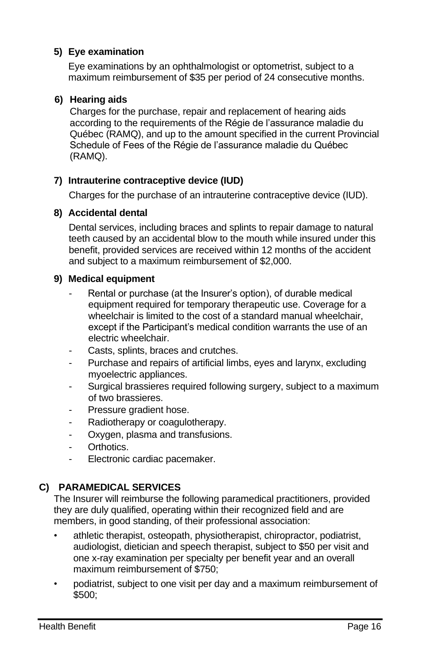#### **5) Eye examination**

Eye examinations by an ophthalmologist or optometrist, subject to a maximum reimbursement of \$35 per period of 24 consecutive months.

#### **6) Hearing aids**

Charges for the purchase, repair and replacement of hearing aids according to the requirements of the Régie de l'assurance maladie du Québec (RAMQ), and up to the amount specified in the current Provincial Schedule of Fees of the Régie de l'assurance maladie du Québec (RAMQ).

#### **7) Intrauterine contraceptive device (IUD)**

Charges for the purchase of an intrauterine contraceptive device (IUD).

#### **8) Accidental dental**

Dental services, including braces and splints to repair damage to natural teeth caused by an accidental blow to the mouth while insured under this benefit, provided services are received within 12 months of the accident and subject to a maximum reimbursement of \$2,000.

#### **9) Medical equipment**

- Rental or purchase (at the Insurer's option), of durable medical equipment required for temporary therapeutic use. Coverage for a wheelchair is limited to the cost of a standard manual wheelchair, except if the Participant's medical condition warrants the use of an electric wheelchair.
- Casts, splints, braces and crutches.
- Purchase and repairs of artificial limbs, eves and larynx, excluding myoelectric appliances.
- Surgical brassieres required following surgery, subject to a maximum of two brassieres.
- Pressure gradient hose.
- Radiotherapy or coagulotherapy.
- Oxygen, plasma and transfusions.
- Orthotics.
- Electronic cardiac pacemaker.

# <span id="page-17-0"></span>**C) PARAMEDICAL SERVICES**

The Insurer will reimburse the following paramedical practitioners, provided they are duly qualified, operating within their recognized field and are members, in good standing, of their professional association:

- athletic therapist, osteopath, physiotherapist, chiropractor, podiatrist, audiologist, dietician and speech therapist, subject to \$50 per visit and one x-ray examination per specialty per benefit year and an overall maximum reimbursement of \$750;
- podiatrist, subject to one visit per day and a maximum reimbursement of \$500;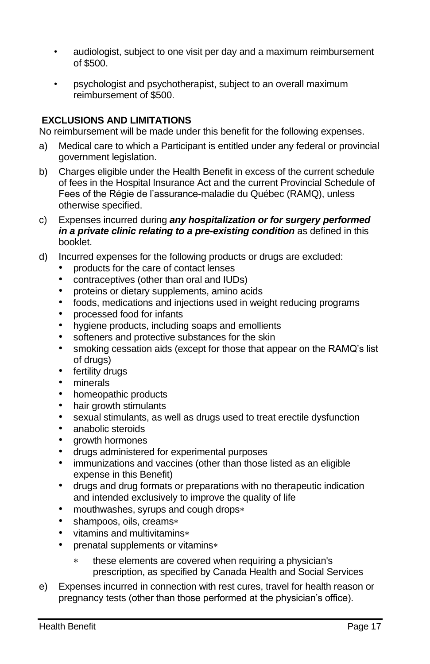- audiologist, subject to one visit per day and a maximum reimbursement of \$500.
- psychologist and psychotherapist, subject to an overall maximum reimbursement of \$500.

#### <span id="page-18-0"></span>**EXCLUSIONS AND LIMITATIONS**

No reimbursement will be made under this benefit for the following expenses.

- a) Medical care to which a Participant is entitled under any federal or provincial government legislation.
- b) Charges eligible under the Health Benefit in excess of the current schedule of fees in the Hospital Insurance Act and the current Provincial Schedule of Fees of the Régie de l'assurance-maladie du Québec (RAMQ), unless otherwise specified.
- c) Expenses incurred during *any hospitalization or for surgery performed in a private clinic relating to a pre-existing condition* as defined in this booklet.
- d) Incurred expenses for the following products or drugs are excluded:
	- products for the care of contact lenses
	- contraceptives (other than oral and IUDs)
	- proteins or dietary supplements, amino acids
	- foods, medications and injections used in weight reducing programs
	- processed food for infants
	- hygiene products, including soaps and emollients
	- softeners and protective substances for the skin
	- smoking cessation aids (except for those that appear on the RAMQ's list of drugs)
	- fertility drugs
	- minerals
	- homeopathic products
	- hair growth stimulants
	- sexual stimulants, as well as drugs used to treat erectile dysfunction
	- anabolic steroids
	- growth hormones
	- drugs administered for experimental purposes
	- immunizations and vaccines (other than those listed as an eligible expense in this Benefit)
	- drugs and drug formats or preparations with no therapeutic indication and intended exclusively to improve the quality of life
	- mouthwashes, syrups and cough drops
	- shampoos, oils, creams\*
	- vitamins and multivitamins
	- prenatal supplements or vitamins\*
		- these elements are covered when requiring a physician's prescription, as specified by Canada Health and Social Services
- e) Expenses incurred in connection with rest cures, travel for health reason or pregnancy tests (other than those performed at the physician's office).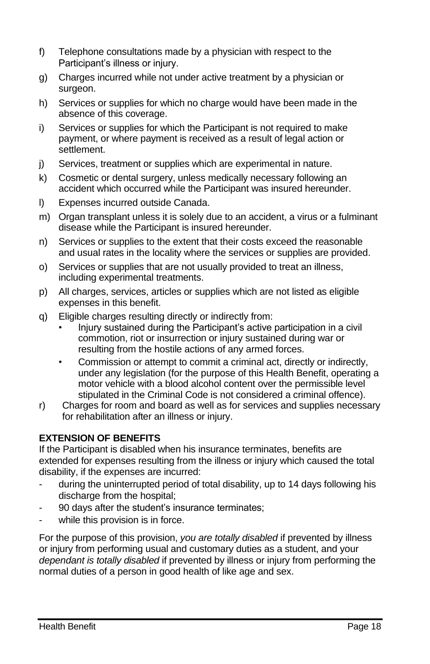- f) Telephone consultations made by a physician with respect to the Participant's illness or injury.
- g) Charges incurred while not under active treatment by a physician or surgeon.
- h) Services or supplies for which no charge would have been made in the absence of this coverage.
- i) Services or supplies for which the Participant is not required to make payment, or where payment is received as a result of legal action or settlement.
- j) Services, treatment or supplies which are experimental in nature.
- k) Cosmetic or dental surgery, unless medically necessary following an accident which occurred while the Participant was insured hereunder.
- l) Expenses incurred outside Canada.
- m) Organ transplant unless it is solely due to an accident, a virus or a fulminant disease while the Participant is insured hereunder.
- n) Services or supplies to the extent that their costs exceed the reasonable and usual rates in the locality where the services or supplies are provided.
- o) Services or supplies that are not usually provided to treat an illness, including experimental treatments.
- p) All charges, services, articles or supplies which are not listed as eligible expenses in this benefit.
- q) Eligible charges resulting directly or indirectly from:
	- Injury sustained during the Participant's active participation in a civil commotion, riot or insurrection or injury sustained during war or resulting from the hostile actions of any armed forces.
	- Commission or attempt to commit a criminal act, directly or indirectly, under any legislation (for the purpose of this Health Benefit, operating a motor vehicle with a blood alcohol content over the permissible level stipulated in the Criminal Code is not considered a criminal offence).
- r) Charges for room and board as well as for services and supplies necessary for rehabilitation after an illness or injury.

#### <span id="page-19-0"></span>**EXTENSION OF BENEFITS**

If the Participant is disabled when his insurance terminates, benefits are extended for expenses resulting from the illness or injury which caused the total disability, if the expenses are incurred:

- during the uninterrupted period of total disability, up to 14 days following his discharge from the hospital;
- 90 days after the student's insurance terminates;
- while this provision is in force.

For the purpose of this provision, *you are totally disabled* if prevented by illness or injury from performing usual and customary duties as a student, and your *dependant is totally disabled* if prevented by illness or injury from performing the normal duties of a person in good health of like age and sex.